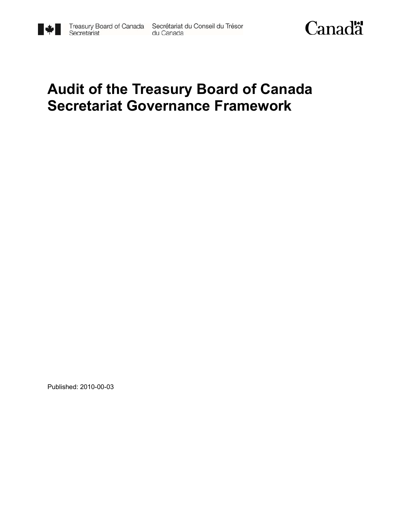



# **Audit of the Treasury Board of Canada Secretariat Governance Framework**

Published: 2010-00-03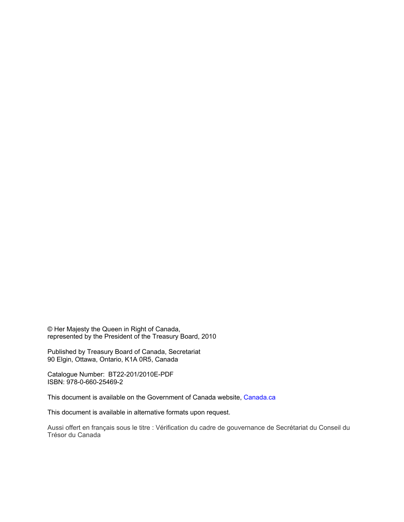© Her Majesty the Queen in Right of Canada, represented by the President of the Treasury Board, 2010

Published by Treasury Board of Canada, Secretariat 90 Elgin, Ottawa, Ontario, K1A 0R5, Canada

Catalogue Number: BT22-201/2010E-PDF ISBN: 978-0-660-25469-2

This document is available on the Government of Canada website, Canada.ca

This document is available in alternative formats upon request.

Aussi offert en français sous le titre : Vérification du cadre de gouvernance de Secrétariat du Conseil du Trésor du Canada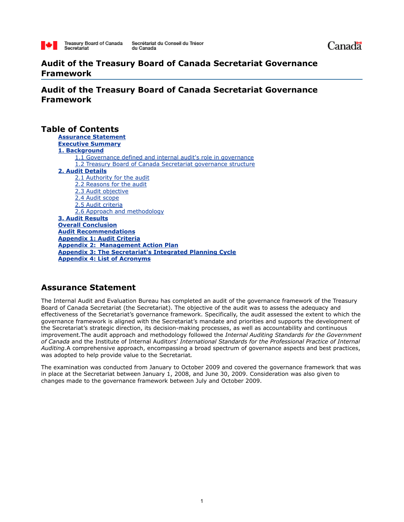

# **Audit of the Treasury Board of Canada Secretariat Governance Framework**

**Audit of the Treasury Board of Canada Secretariat Governance Framework**

# **Table of Contents**

**Assurance Statement Executive Summary 1. Background** 1.1 Governance defined and internal audit's role in governance 1.2 Treasury Board of Canada Secretariat governance structure **2. Audit Details** 2.1 Authority for the audit 2.2 Reasons for the audit 2.3 Audit objective 2.4 Audit scope 2.5 Audit criteria 2.6 Approach and methodology **3. Audit Results Overall Conclusion Audit Recommendations Appendix 1: Audit Criteria Appendix 2: Management Action Plan Appendix 3: The Secretariat's Integrated Planning Cycle Appendix 4: List of Acronyms**

# **Assurance Statement**

The Internal Audit and Evaluation Bureau has completed an audit of the governance framework of the Treasury Board of Canada Secretariat (the Secretariat). The objective of the audit was to assess the adequacy and effectiveness of the Secretariat's governance framework. Specifically, the audit assessed the extent to which the governance framework is aligned with the Secretariat's mandate and priorities and supports the development of the Secretariat's strategic direction, its decision-making processes, as well as accountability and continuous improvement.The audit approach and methodology followed the *Internal Auditing Standards for the Government of Canada* and the Institute of Internal Auditors' *International Standards for the Professional Practice of Internal Auditing.*A comprehensive approach, encompassing a broad spectrum of governance aspects and best practices, was adopted to help provide value to the Secretariat*.*

The examination was conducted from January to October 2009 and covered the governance framework that was in place at the Secretariat between January 1, 2008, and June 30, 2009. Consideration was also given to changes made to the governance framework between July and October 2009.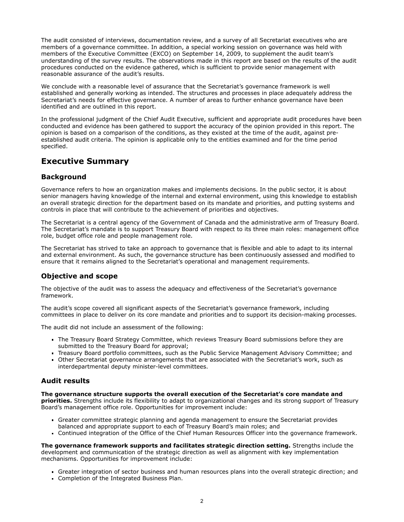The audit consisted of interviews, documentation review, and a survey of all Secretariat executives who are members of a governance committee. In addition, a special working session on governance was held with members of the Executive Committee (EXCO) on September 14, 2009, to supplement the audit team's understanding of the survey results. The observations made in this report are based on the results of the audit procedures conducted on the evidence gathered, which is sufficient to provide senior management with reasonable assurance of the audit's results.

We conclude with a reasonable level of assurance that the Secretariat's governance framework is well established and generally working as intended. The structures and processes in place adequately address the Secretariat's needs for effective governance. A number of areas to further enhance governance have been identified and are outlined in this report.

In the professional judgment of the Chief Audit Executive, sufficient and appropriate audit procedures have been conducted and evidence has been gathered to support the accuracy of the opinion provided in this report. The opinion is based on a comparison of the conditions, as they existed at the time of the audit, against preestablished audit criteria. The opinion is applicable only to the entities examined and for the time period specified.

# **Executive Summary**

# **Background**

Governance refers to how an organization makes and implements decisions. In the public sector, it is about senior managers having knowledge of the internal and external environment, using this knowledge to establish an overall strategic direction for the department based on its mandate and priorities, and putting systems and controls in place that will contribute to the achievement of priorities and objectives.

The Secretariat is a central agency of the Government of Canada and the administrative arm of Treasury Board. The Secretariat's mandate is to support Treasury Board with respect to its three main roles: management office role, budget office role and people management role.

The Secretariat has strived to take an approach to governance that is flexible and able to adapt to its internal and external environment. As such, the governance structure has been continuously assessed and modified to ensure that it remains aligned to the Secretariat's operational and management requirements.

# **Objective and scope**

The objective of the audit was to assess the adequacy and effectiveness of the Secretariat's governance framework.

The audit's scope covered all significant aspects of the Secretariat's governance framework, including committees in place to deliver on its core mandate and priorities and to support its decision-making processes.

The audit did not include an assessment of the following:

- The Treasury Board Strategy Committee, which reviews Treasury Board submissions before they are submitted to the Treasury Board for approval;
- Treasury Board portfolio committees, such as the Public Service Management Advisory Committee; and
- Other Secretariat governance arrangements that are associated with the Secretariat's work, such as interdepartmental deputy minister-level committees.

## **Audit results**

**The governance structure supports the overall execution of the Secretariat's core mandate and priorities.** Strengths include its flexibility to adapt to organizational changes and its strong support of Treasury Board's management office role. Opportunities for improvement include:

- Greater committee strategic planning and agenda management to ensure the Secretariat provides balanced and appropriate support to each of Treasury Board's main roles; and
- Continued integration of the Office of the Chief Human Resources Officer into the governance framework.

**The governance framework supports and facilitates strategic direction setting.** Strengths include the development and communication of the strategic direction as well as alignment with key implementation mechanisms. Opportunities for improvement include:

- Greater integration of sector business and human resources plans into the overall strategic direction; and
- **Completion of the Integrated Business Plan.**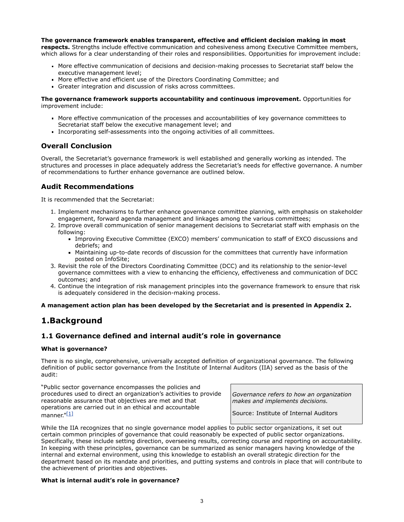#### **The governance framework enables transparent, effective and efficient decision making in most**

**respects.** Strengths include effective communication and cohesiveness among Executive Committee members, which allows for a clear understanding of their roles and responsibilities. Opportunities for improvement include:

- More effective communication of decisions and decision-making processes to Secretariat staff below the executive management level;
- More effective and efficient use of the Directors Coordinating Committee; and
- Greater integration and discussion of risks across committees.

#### **The governance framework supports accountability and continuous improvement.** Opportunities for improvement include:

- More effective communication of the processes and accountabilities of key governance committees to Secretariat staff below the executive management level; and
- Incorporating self-assessments into the ongoing activities of all committees.

# **Overall Conclusion**

Overall, the Secretariat's governance framework is well established and generally working as intended. The structures and processes in place adequately address the Secretariat's needs for effective governance. A number of recommendations to further enhance governance are outlined below.

# **Audit Recommendations**

It is recommended that the Secretariat:

- 1. Implement mechanisms to further enhance governance committee planning, with emphasis on stakeholder engagement, forward agenda management and linkages among the various committees;
- 2. Improve overall communication of senior management decisions to Secretariat staff with emphasis on the following:
	- Improving Executive Committee (EXCO) members' communication to staff of EXCO discussions and debriefs; and
	- Maintaining up-to-date records of discussion for the committees that currently have information posted on InfoSite;
- 3. Revisit the role of the Directors Coordinating Committee (DCC) and its relationship to the senior-level governance committees with a view to enhancing the efficiency, effectiveness and communication of DCC outcomes; and
- 4. Continue the integration of risk management principles into the governance framework to ensure that risk is adequately considered in the decision-making process.

#### **A management action plan has been developed by the Secretariat and is presented in Appendix 2.**

# **1.Background**

## **1.1 Governance defined and internal audit's role in governance**

#### **What is governance?**

There is no single, comprehensive, universally accepted definition of organizational governance. The following definition of public sector governance from the Institute of Internal Auditors (IIA) served as the basis of the audit:

"Public sector governance encompasses the policies and procedures used to direct an organization's activities to provide reasonable assurance that objectives are met and that operations are carried out in an ethical and accountable manner."[\[1\]](http://www.tbs-sct.gc.ca/report/orp/2010/agf-acg03-eng.asp#ftn1)

*Governance refers to how an organization makes and implements decisions.*

Source: Institute of Internal Auditors

While the IIA recognizes that no single governance model applies to public sector organizations, it set out certain common principles of governance that could reasonably be expected of public sector organizations. Specifically, these include setting direction, overseeing results, correcting course and reporting on accountability. In keeping with these principles, governance can be summarized as senior managers having knowledge of the internal and external environment, using this knowledge to establish an overall strategic direction for the department based on its mandate and priorities, and putting systems and controls in place that will contribute to the achievement of priorities and objectives.

#### **What is internal audit's role in governance?**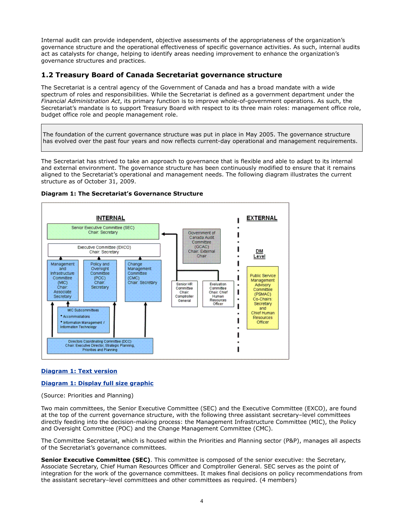Internal audit can provide independent, objective assessments of the appropriateness of the organization's governance structure and the operational effectiveness of specific governance activities. As such, internal audits act as catalysts for change, helping to identify areas needing improvement to enhance the organization's governance structures and practices.

## **1.2 Treasury Board of Canada Secretariat governance structure**

The Secretariat is a central agency of the Government of Canada and has a broad mandate with a wide spectrum of roles and responsibilities. While the Secretariat is defined as a government department under the *Financial Administration Act*, its primary function is to improve whole-of-government operations. As such, the Secretariat's mandate is to support Treasury Board with respect to its three main roles: management office role, budget office role and people management role.

The foundation of the current governance structure was put in place in May 2005. The governance structure has evolved over the past four years and now reflects current-day operational and management requirements.

The Secretariat has strived to take an approach to governance that is flexible and able to adapt to its internal and external environment. The governance structure has been continuously modified to ensure that it remains aligned to the Secretariat's operational and management needs. The following diagram illustrates the current structure as of October 31, 2009.



#### **Diagram 1: The Secretariat's Governance Structure**

#### **[Diagram 1: Text version](http://www.tbs-sct.gc.ca/report/orp/2010/agf-acg-txt-eng.asp#diag1)**

#### **[Diagram 1: Display full size graphic](http://www.tbs-sct.gc.ca/report/orp/2010/image/image001-eng.gif)**

(Source: Priorities and Planning)

Two main committees, the Senior Executive Committee (SEC) and the Executive Committee (EXCO), are found at the top of the current governance structure, with the following three assistant secretary–level committees directly feeding into the decision-making process: the Management Infrastructure Committee (MIC), the Policy and Oversight Committee (POC) and the Change Management Committee (CMC).

The Committee Secretariat, which is housed within the Priorities and Planning sector (P&P), manages all aspects of the Secretariat's governance committees.

**Senior Executive Committee (SEC)**. This committee is composed of the senior executive: the Secretary, Associate Secretary, Chief Human Resources Officer and Comptroller General. SEC serves as the point of integration for the work of the governance committees. It makes final decisions on policy recommendations from the assistant secretary–level committees and other committees as required. (4 members)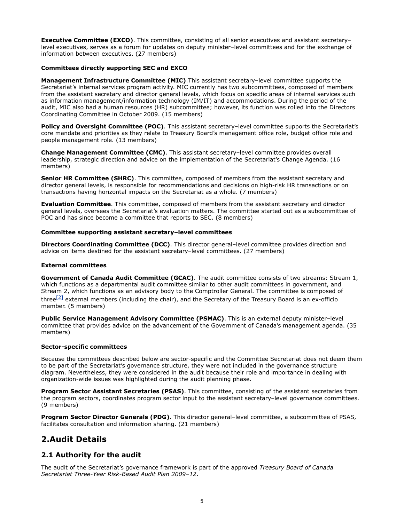**Executive Committee (EXCO)**. This committee, consisting of all senior executives and assistant secretary– level executives, serves as a forum for updates on deputy minister–level committees and for the exchange of information between executives. (27 members)

#### **Committees directly supporting SEC and EXCO**

**Management Infrastructure Committee (MIC)**.This assistant secretary–level committee supports the Secretariat's internal services program activity. MIC currently has two subcommittees, composed of members from the assistant secretary and director general levels, which focus on specific areas of internal services such as information management/information technology (IM/IT) and accommodations. During the period of the audit, MIC also had a human resources (HR) subcommittee; however, its function was rolled into the Directors Coordinating Committee in October 2009. (15 members)

**Policy and Oversight Committee (POC)**. This assistant secretary-level committee supports the Secretariat's core mandate and priorities as they relate to Treasury Board's management office role, budget office role and people management role. (13 members)

**Change Management Committee (CMC)**. This assistant secretary–level committee provides overall leadership, strategic direction and advice on the implementation of the Secretariat's Change Agenda. (16 members)

**Senior HR Committee (SHRC)**. This committee, composed of members from the assistant secretary and director general levels, is responsible for recommendations and decisions on high-risk HR transactions or on transactions having horizontal impacts on the Secretariat as a whole. (7 members)

**Evaluation Committee**. This committee, composed of members from the assistant secretary and director general levels, oversees the Secretariat's evaluation matters. The committee started out as a subcommittee of POC and has since become a committee that reports to SEC. (8 members)

#### **Committee supporting assistant secretary–level committees**

**Directors Coordinating Committee (DCC)**. This director general–level committee provides direction and advice on items destined for the assistant secretary–level committees. (27 members)

#### **External committees**

**Government of Canada Audit Committee (GCAC)**. The audit committee consists of two streams: Stream 1, which functions as a departmental audit committee similar to other audit committees in government, and Stream 2, which functions as an advisory body to the Comptroller General. The committee is composed of three $[2]$  external members (including the chair), and the Secretary of the Treasury Board is an ex-officio member. (5 members)

**Public Service Management Advisory Committee (PSMAC)**. This is an external deputy minister–level committee that provides advice on the advancement of the Government of Canada's management agenda. (35 members)

#### **Sector-specific committees**

Because the committees described below are sector-specific and the Committee Secretariat does not deem them to be part of the Secretariat's governance structure, they were not included in the governance structure diagram. Nevertheless, they were considered in the audit because their role and importance in dealing with organization-wide issues was highlighted during the audit planning phase.

**Program Sector Assistant Secretaries (PSAS)**. This committee, consisting of the assistant secretaries from the program sectors, coordinates program sector input to the assistant secretary–level governance committees. (9 members)

**Program Sector Director Generals (PDG)**. This director general–level committee, a subcommittee of PSAS, facilitates consultation and information sharing. (21 members)

# **2.Audit Details**

# **2.1 Authority for the audit**

The audit of the Secretariat's governance framework is part of the approved *Treasury Board of Canada Secretariat Three-Year Risk-Based Audit Plan 2009–12*.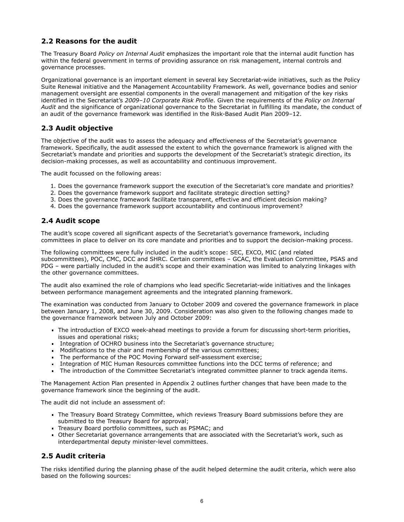# **2.2 Reasons for the audit**

The Treasury Board *Policy on Internal Audit* emphasizes the important role that the internal audit function has within the federal government in terms of providing assurance on risk management, internal controls and governance processes.

Organizational governance is an important element in several key Secretariat-wide initiatives, such as the Policy Suite Renewal initiative and the Management Accountability Framework. As well, governance bodies and senior management oversight are essential components in the overall management and mitigation of the key risks identified in the Secretariat's *2009–10 Corporate Risk Profile*. Given the requirements of the *Policy on Internal Audit* and the significance of organizational governance to the Secretariat in fulfilling its mandate, the conduct of an audit of the governance framework was identified in the Risk-Based Audit Plan 2009–12.

# **2.3 Audit objective**

The objective of the audit was to assess the adequacy and effectiveness of the Secretariat's governance framework. Specifically, the audit assessed the extent to which the governance framework is aligned with the Secretariat's mandate and priorities and supports the development of the Secretariat's strategic direction, its decision-making processes, as well as accountability and continuous improvement.

The audit focussed on the following areas:

- 1. Does the governance framework support the execution of the Secretariat's core mandate and priorities?
- 2. Does the governance framework support and facilitate strategic direction setting?
- 3. Does the governance framework facilitate transparent, effective and efficient decision making?
- 4. Does the governance framework support accountability and continuous improvement?

## **2.4 Audit scope**

The audit's scope covered all significant aspects of the Secretariat's governance framework, including committees in place to deliver on its core mandate and priorities and to support the decision-making process.

The following committees were fully included in the audit's scope: SEC, EXCO, MIC (and related subcommittees), POC, CMC, DCC and SHRC. Certain committees – GCAC, the Evaluation Committee, PSAS and PDG – were partially included in the audit's scope and their examination was limited to analyzing linkages with the other governance committees.

The audit also examined the role of champions who lead specific Secretariat-wide initiatives and the linkages between performance management agreements and the integrated planning framework.

The examination was conducted from January to October 2009 and covered the governance framework in place between January 1, 2008, and June 30, 2009. Consideration was also given to the following changes made to the governance framework between July and October 2009:

- The introduction of EXCO week-ahead meetings to provide a forum for discussing short-term priorities, issues and operational risks;
- Integration of OCHRO business into the Secretariat's governance structure;
- Modifications to the chair and membership of the various committees;
- The performance of the POC Moving Forward self-assessment exercise;
- Integration of MIC Human Resources committee functions into the DCC terms of reference; and
- The introduction of the Committee Secretariat's integrated committee planner to track agenda items.

The Management Action Plan presented in Appendix 2 outlines further changes that have been made to the governance framework since the beginning of the audit.

The audit did not include an assessment of:

- The Treasury Board Strategy Committee, which reviews Treasury Board submissions before they are submitted to the Treasury Board for approval;
- Treasury Board portfolio committees, such as PSMAC; and
- Other Secretariat governance arrangements that are associated with the Secretariat's work, such as interdepartmental deputy minister-level committees.

## **2.5 Audit criteria**

The risks identified during the planning phase of the audit helped determine the audit criteria, which were also based on the following sources: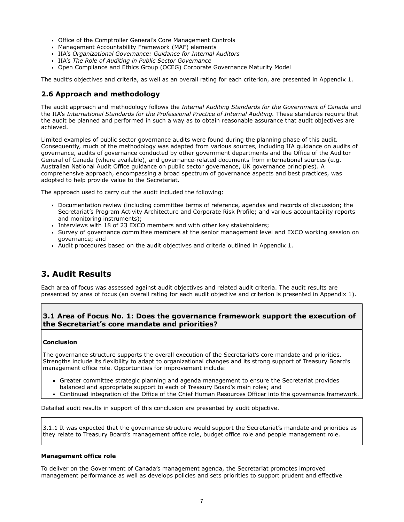- Office of the Comptroller General's Core Management Controls
- Management Accountability Framework (MAF) elements
- IIA's *Organizational Governance: Guidance for Internal Auditors*
- IIA's *The Role of Auditing in Public Sector Governance*
- Open Compliance and Ethics Group (OCEG) Corporate Governance Maturity Model

The audit's objectives and criteria, as well as an overall rating for each criterion, are presented in Appendix 1.

# **2.6 Approach and methodology**

The audit approach and methodology follows the *Internal Auditing Standards for the Government of Canada* and the IIA's *International Standards for the Professional Practice of Internal Auditing.* These standards require that the audit be planned and performed in such a way as to obtain reasonable assurance that audit objectives are achieved.

Limited examples of public sector governance audits were found during the planning phase of this audit. Consequently, much of the methodology was adapted from various sources, including IIA guidance on audits of governance, audits of governance conducted by other government departments and the Office of the Auditor General of Canada (where available), and governance-related documents from international sources (e.g. Australian National Audit Office guidance on public sector governance, UK governance principles). A comprehensive approach, encompassing a broad spectrum of governance aspects and best practices, was adopted to help provide value to the Secretariat.

The approach used to carry out the audit included the following:

- Documentation review (including committee terms of reference, agendas and records of discussion; the Secretariat's Program Activity Architecture and Corporate Risk Profile; and various accountability reports and monitoring instruments);
- Interviews with 18 of 23 EXCO members and with other key stakeholders;
- Survey of governance committee members at the senior management level and EXCO working session on governance; and
- Audit procedures based on the audit objectives and criteria outlined in Appendix 1.

# **3. Audit Results**

Each area of focus was assessed against audit objectives and related audit criteria. The audit results are presented by area of focus (an overall rating for each audit objective and criterion is presented in Appendix 1).

### **3.1 Area of Focus No. 1: Does the governance framework support the execution of the Secretariat's core mandate and priorities?**

#### **Conclusion**

The governance structure supports the overall execution of the Secretariat's core mandate and priorities. Strengths include its flexibility to adapt to organizational changes and its strong support of Treasury Board's management office role. Opportunities for improvement include:

- Greater committee strategic planning and agenda management to ensure the Secretariat provides balanced and appropriate support to each of Treasury Board's main roles; and
- Continued integration of the Office of the Chief Human Resources Officer into the governance framework.

Detailed audit results in support of this conclusion are presented by audit objective.

3.1.1 It was expected that the governance structure would support the Secretariat's mandate and priorities as they relate to Treasury Board's management office role, budget office role and people management role.

#### **Management office role**

To deliver on the Government of Canada's management agenda, the Secretariat promotes improved management performance as well as develops policies and sets priorities to support prudent and effective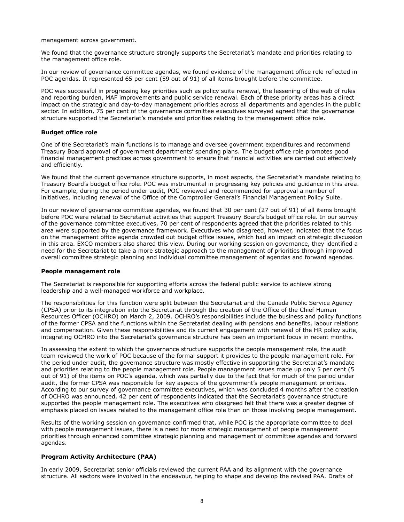management across government.

We found that the governance structure strongly supports the Secretariat's mandate and priorities relating to the management office role.

In our review of governance committee agendas, we found evidence of the management office role reflected in POC agendas. It represented 65 per cent (59 out of 91) of all items brought before the committee.

POC was successful in progressing key priorities such as policy suite renewal, the lessening of the web of rules and reporting burden, MAF improvements and public service renewal. Each of these priority areas has a direct impact on the strategic and day-to-day management priorities across all departments and agencies in the public sector. In addition, 75 per cent of the governance committee executives surveyed agreed that the governance structure supported the Secretariat's mandate and priorities relating to the management office role.

#### **Budget office role**

One of the Secretariat's main functions is to manage and oversee government expenditures and recommend Treasury Board approval of government departments' spending plans. The budget office role promotes good financial management practices across government to ensure that financial activities are carried out effectively and efficiently.

We found that the current governance structure supports, in most aspects, the Secretariat's mandate relating to Treasury Board's budget office role. POC was instrumental in progressing key policies and guidance in this area. For example, during the period under audit, POC reviewed and recommended for approval a number of initiatives, including renewal of the Office of the Comptroller General's Financial Management Policy Suite.

In our review of governance committee agendas, we found that 30 per cent (27 out of 91) of all items brought before POC were related to Secretariat activities that support Treasury Board's budget office role. In our survey of the governance committee executives, 70 per cent of respondents agreed that the priorities related to this area were supported by the governance framework. Executives who disagreed, however, indicated that the focus on the management office agenda crowded out budget office issues, which had an impact on strategic discussion in this area. EXCO members also shared this view. During our working session on governance, they identified a need for the Secretariat to take a more strategic approach to the management of priorities through improved overall committee strategic planning and individual committee management of agendas and forward agendas.

#### **People management role**

The Secretariat is responsible for supporting efforts across the federal public service to achieve strong leadership and a well-managed workforce and workplace.

The responsibilities for this function were split between the Secretariat and the Canada Public Service Agency (CPSA) prior to its integration into the Secretariat through the creation of the Office of the Chief Human Resources Officer (OCHRO) on March 2, 2009. OCHRO's responsibilities include the business and policy functions of the former CPSA and the functions within the Secretariat dealing with pensions and benefits, labour relations and compensation. Given these responsibilities and its current engagement with renewal of the HR policy suite, integrating OCHRO into the Secretariat's governance structure has been an important focus in recent months.

In assessing the extent to which the governance structure supports the people management role, the audit team reviewed the work of POC because of the formal support it provides to the people management role. For the period under audit, the governance structure was mostly effective in supporting the Secretariat's mandate and priorities relating to the people management role. People management issues made up only 5 per cent (5 out of 91) of the items on POC's agenda, which was partially due to the fact that for much of the period under audit, the former CPSA was responsible for key aspects of the government's people management priorities. According to our survey of governance committee executives, which was concluded 4 months after the creation of OCHRO was announced, 42 per cent of respondents indicated that the Secretariat's governance structure supported the people management role. The executives who disagreed felt that there was a greater degree of emphasis placed on issues related to the management office role than on those involving people management.

Results of the working session on governance confirmed that, while POC is the appropriate committee to deal with people management issues, there is a need for more strategic management of people management priorities through enhanced committee strategic planning and management of committee agendas and forward agendas.

#### **Program Activity Architecture (PAA)**

In early 2009, Secretariat senior officials reviewed the current PAA and its alignment with the governance structure. All sectors were involved in the endeavour, helping to shape and develop the revised PAA. Drafts of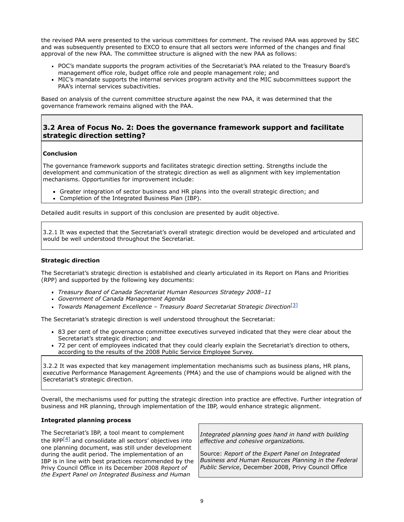the revised PAA were presented to the various committees for comment. The revised PAA was approved by SEC and was subsequently presented to EXCO to ensure that all sectors were informed of the changes and final approval of the new PAA. The committee structure is aligned with the new PAA as follows:

- POC's mandate supports the program activities of the Secretariat's PAA related to the Treasury Board's management office role, budget office role and people management role; and
- MIC's mandate supports the internal services program activity and the MIC subcommittees support the PAA's internal services subactivities.

Based on analysis of the current committee structure against the new PAA, it was determined that the governance framework remains aligned with the PAA.

### **3.2 Area of Focus No. 2: Does the governance framework support and facilitate strategic direction setting?**

#### **Conclusion**

The governance framework supports and facilitates strategic direction setting. Strengths include the development and communication of the strategic direction as well as alignment with key implementation mechanisms. Opportunities for improvement include:

- Greater integration of sector business and HR plans into the overall strategic direction; and
- Completion of the Integrated Business Plan (IBP).

Detailed audit results in support of this conclusion are presented by audit objective.

3.2.1 It was expected that the Secretariat's overall strategic direction would be developed and articulated and would be well understood throughout the Secretariat.

#### **Strategic direction**

The Secretariat's strategic direction is established and clearly articulated in its Report on Plans and Priorities (RPP) and supported by the following key documents:

- *Treasury Board of Canada Secretariat Human Resources Strategy 2008–11*
- *Government of Canada Management Agenda*
- *Towards Management Excellence Treasury Board Secretariat Strategic Direction*[\[3\]](http://www.tbs-sct.gc.ca/report/orp/2010/agf-acg03-eng.asp#ftn3)

The Secretariat's strategic direction is well understood throughout the Secretariat:

- 83 per cent of the governance committee executives surveyed indicated that they were clear about the Secretariat's strategic direction; and
- 72 per cent of employees indicated that they could clearly explain the Secretariat's direction to others, according to the results of the 2008 Public Service Employee Survey.

3.2.2 It was expected that key management implementation mechanisms such as business plans, HR plans, executive Performance Management Agreements (PMA) and the use of champions would be aligned with the Secretariat's strategic direction.

Overall, the mechanisms used for putting the strategic direction into practice are effective. Further integration of business and HR planning, through implementation of the IBP, would enhance strategic alignment.

#### **Integrated planning process**

The Secretariat's IBP, a tool meant to complement the RPP $[4]$  and consolidate all sectors' objectives into one planning document, was still under development during the audit period. The implementation of an IBP is in line with best practices recommended by the Privy Council Office in its December 2008 *Report of the Expert Panel on Integrated Business and Human*

*Integrated planning goes hand in hand with building effective and cohesive organizations.*

Source: *Report of the Expert Panel on Integrated Business and Human Resources Planning in the Federal Public Service*, December 2008, Privy Council Office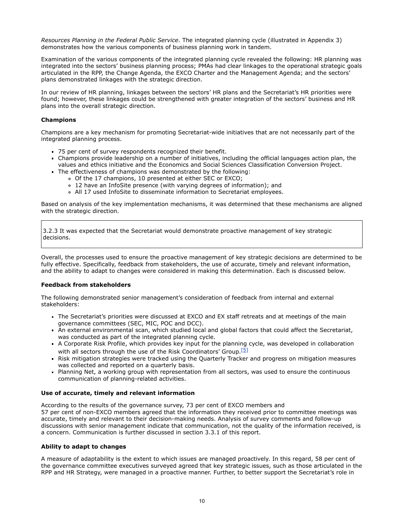*Resources Planning in the Federal Public Service*. The integrated planning cycle (illustrated in Appendix 3) demonstrates how the various components of business planning work in tandem.

Examination of the various components of the integrated planning cycle revealed the following: HR planning was integrated into the sectors' business planning process; PMAs had clear linkages to the operational strategic goals articulated in the RPP, the Change Agenda, the EXCO Charter and the Management Agenda; and the sectors' plans demonstrated linkages with the strategic direction.

In our review of HR planning, linkages between the sectors' HR plans and the Secretariat's HR priorities were found; however, these linkages could be strengthened with greater integration of the sectors' business and HR plans into the overall strategic direction.

#### **Champions**

Champions are a key mechanism for promoting Secretariat-wide initiatives that are not necessarily part of the integrated planning process.

- 75 per cent of survey respondents recognized their benefit.
- Champions provide leadership on a number of initiatives, including the official languages action plan, the values and ethics initiative and the Economics and Social Sciences Classification Conversion Project.
- The effectiveness of champions was demonstrated by the following:
	- Of the 17 champions, 10 presented at either SEC or EXCO;
	- 12 have an InfoSite presence (with varying degrees of information); and
	- All 17 used InfoSite to disseminate information to Secretariat employees.

Based on analysis of the key implementation mechanisms, it was determined that these mechanisms are aligned with the strategic direction.

3.2.3 It was expected that the Secretariat would demonstrate proactive management of key strategic decisions.

Overall, the processes used to ensure the proactive management of key strategic decisions are determined to be fully effective. Specifically, feedback from stakeholders, the use of accurate, timely and relevant information, and the ability to adapt to changes were considered in making this determination. Each is discussed below.

#### **Feedback from stakeholders**

The following demonstrated senior management's consideration of feedback from internal and external stakeholders:

- The Secretariat's priorities were discussed at EXCO and EX staff retreats and at meetings of the main governance committees (SEC, MIC, POC and DCC).
- An external environmental scan, which studied local and global factors that could affect the Secretariat, was conducted as part of the integrated planning cycle.
- A Corporate Risk Profile, which provides key input for the planning cycle, was developed in collaboration with all sectors through the use of the Risk Coordinators' Group.<sup>[\[5\]](http://www.tbs-sct.gc.ca/report/orp/2010/agf-acg03-eng.asp#ftn5)</sup>
- Risk mitigation strategies were tracked using the Quarterly Tracker and progress on mitigation measures was collected and reported on a quarterly basis.
- Planning Net, a working group with representation from all sectors, was used to ensure the continuous communication of planning-related activities.

#### **Use of accurate, timely and relevant information**

According to the results of the governance survey, 73 per cent of EXCO members and 57 per cent of non-EXCO members agreed that the information they received prior to committee meetings was accurate, timely and relevant to their decision-making needs. Analysis of survey comments and follow-up discussions with senior management indicate that communication, not the quality of the information received, is a concern. Communication is further discussed in section 3.3.1 of this report.

#### **Ability to adapt to changes**

A measure of adaptability is the extent to which issues are managed proactively. In this regard, 58 per cent of the governance committee executives surveyed agreed that key strategic issues, such as those articulated in the RPP and HR Strategy, were managed in a proactive manner. Further, to better support the Secretariat's role in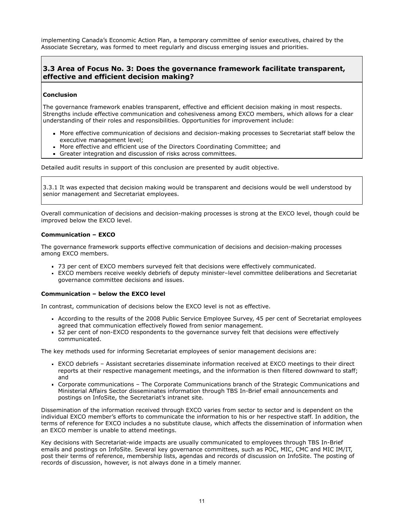implementing Canada's Economic Action Plan, a temporary committee of senior executives, chaired by the Associate Secretary, was formed to meet regularly and discuss emerging issues and priorities.

### **3.3 Area of Focus No. 3: Does the governance framework facilitate transparent, effective and efficient decision making?**

#### **Conclusion**

The governance framework enables transparent, effective and efficient decision making in most respects. Strengths include effective communication and cohesiveness among EXCO members, which allows for a clear understanding of their roles and responsibilities. Opportunities for improvement include:

- More effective communication of decisions and decision-making processes to Secretariat staff below the executive management level;
- More effective and efficient use of the Directors Coordinating Committee; and
- Greater integration and discussion of risks across committees.

Detailed audit results in support of this conclusion are presented by audit objective.

3.3.1 It was expected that decision making would be transparent and decisions would be well understood by senior management and Secretariat employees.

Overall communication of decisions and decision-making processes is strong at the EXCO level, though could be improved below the EXCO level.

#### **Communication – EXCO**

The governance framework supports effective communication of decisions and decision-making processes among EXCO members.

- 73 per cent of EXCO members surveyed felt that decisions were effectively communicated.
- EXCO members receive weekly debriefs of deputy minister–level committee deliberations and Secretariat governance committee decisions and issues.

#### **Communication – below the EXCO level**

In contrast, communication of decisions below the EXCO level is not as effective.

- According to the results of the 2008 Public Service Employee Survey, 45 per cent of Secretariat employees agreed that communication effectively flowed from senior management.
- 52 per cent of non-EXCO respondents to the governance survey felt that decisions were effectively communicated.

The key methods used for informing Secretariat employees of senior management decisions are:

- EXCO debriefs Assistant secretaries disseminate information received at EXCO meetings to their direct reports at their respective management meetings, and the information is then filtered downward to staff; and
- Corporate communications The Corporate Communications branch of the Strategic Communications and Ministerial Affairs Sector disseminates information through TBS In-Brief email announcements and postings on InfoSite, the Secretariat's intranet site.

Dissemination of the information received through EXCO varies from sector to sector and is dependent on the individual EXCO member's efforts to communicate the information to his or her respective staff. In addition, the terms of reference for EXCO includes a no substitute clause, which affects the dissemination of information when an EXCO member is unable to attend meetings.

Key decisions with Secretariat-wide impacts are usually communicated to employees through TBS In-Brief emails and postings on InfoSite. Several key governance committees, such as POC, MIC, CMC and MIC IM/IT, post their terms of reference, membership lists, agendas and records of discussion on InfoSite. The posting of records of discussion, however, is not always done in a timely manner.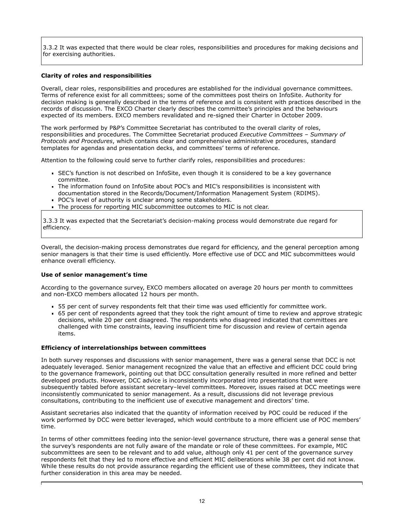3.3.2 It was expected that there would be clear roles, responsibilities and procedures for making decisions and for exercising authorities.

#### **Clarity of roles and responsibilities**

Overall, clear roles, responsibilities and procedures are established for the individual governance committees. Terms of reference exist for all committees; some of the committees post theirs on InfoSite. Authority for decision making is generally described in the terms of reference and is consistent with practices described in the records of discussion. The EXCO Charter clearly describes the committee's principles and the behaviours expected of its members. EXCO members revalidated and re-signed their Charter in October 2009.

The work performed by P&P's Committee Secretariat has contributed to the overall clarity of roles, responsibilities and procedures. The Committee Secretariat produced *Executive Committees – Summary of Protocols and Procedures*, which contains clear and comprehensive administrative procedures, standard templates for agendas and presentation decks, and committees' terms of reference.

Attention to the following could serve to further clarify roles, responsibilities and procedures:

- SEC's function is not described on InfoSite, even though it is considered to be a key governance committee.
- The information found on InfoSite about POC's and MIC's responsibilities is inconsistent with documentation stored in the Records/Document/Information Management System (RDIMS).
- **POC's level of authority is unclear among some stakeholders.**
- The process for reporting MIC subcommittee outcomes to MIC is not clear.

3.3.3 It was expected that the Secretariat's decision-making process would demonstrate due regard for efficiency.

Overall, the decision-making process demonstrates due regard for efficiency, and the general perception among senior managers is that their time is used efficiently. More effective use of DCC and MIC subcommittees would enhance overall efficiency.

#### **Use of senior management's time**

According to the governance survey, EXCO members allocated on average 20 hours per month to committees and non-EXCO members allocated 12 hours per month.

- 55 per cent of survey respondents felt that their time was used efficiently for committee work.
- 65 per cent of respondents agreed that they took the right amount of time to review and approve strategic decisions, while 20 per cent disagreed. The respondents who disagreed indicated that committees are challenged with time constraints, leaving insufficient time for discussion and review of certain agenda items.

#### **Efficiency of interrelationships between committees**

In both survey responses and discussions with senior management, there was a general sense that DCC is not adequately leveraged. Senior management recognized the value that an effective and efficient DCC could bring to the governance framework, pointing out that DCC consultation generally resulted in more refined and better developed products. However, DCC advice is inconsistently incorporated into presentations that were subsequently tabled before assistant secretary–level committees. Moreover, issues raised at DCC meetings were inconsistently communicated to senior management. As a result, discussions did not leverage previous consultations, contributing to the inefficient use of executive management and directors' time.

Assistant secretaries also indicated that the quantity of information received by POC could be reduced if the work performed by DCC were better leveraged, which would contribute to a more efficient use of POC members' time.

In terms of other committees feeding into the senior-level governance structure, there was a general sense that the survey's respondents are not fully aware of the mandate or role of these committees. For example, MIC subcommittees are seen to be relevant and to add value, although only 41 per cent of the governance survey respondents felt that they led to more effective and efficient MIC deliberations while 38 per cent did not know. While these results do not provide assurance regarding the efficient use of these committees, they indicate that further consideration in this area may be needed.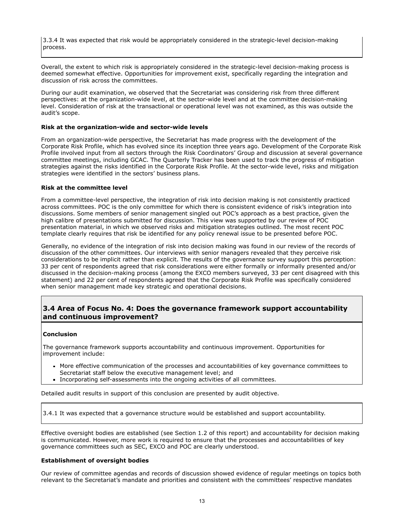3.3.4 It was expected that risk would be appropriately considered in the strategic-level decision-making process.

Overall, the extent to which risk is appropriately considered in the strategic-level decision-making process is deemed somewhat effective. Opportunities for improvement exist, specifically regarding the integration and discussion of risk across the committees.

During our audit examination, we observed that the Secretariat was considering risk from three different perspectives: at the organization-wide level, at the sector-wide level and at the committee decision-making level. Consideration of risk at the transactional or operational level was not examined, as this was outside the audit's scope.

#### **Risk at the organization-wide and sector-wide levels**

From an organization-wide perspective, the Secretariat has made progress with the development of the Corporate Risk Profile, which has evolved since its inception three years ago. Development of the Corporate Risk Profile involved input from all sectors through the Risk Coordinators' Group and discussion at several governance committee meetings, including GCAC. The Quarterly Tracker has been used to track the progress of mitigation strategies against the risks identified in the Corporate Risk Profile. At the sector-wide level, risks and mitigation strategies were identified in the sectors' business plans.

#### **Risk at the committee level**

From a committee-level perspective, the integration of risk into decision making is not consistently practiced across committees. POC is the only committee for which there is consistent evidence of risk's integration into discussions. Some members of senior management singled out POC's approach as a best practice, given the high calibre of presentations submitted for discussion. This view was supported by our review of POC presentation material, in which we observed risks and mitigation strategies outlined. The most recent POC template clearly requires that risk be identified for any policy renewal issue to be presented before POC.

Generally, no evidence of the integration of risk into decision making was found in our review of the records of discussion of the other committees. Our interviews with senior managers revealed that they perceive risk considerations to be implicit rather than explicit. The results of the governance survey support this perception: 33 per cent of respondents agreed that risk considerations were either formally or informally presented and/or discussed in the decision-making process (among the EXCO members surveyed, 33 per cent disagreed with this statement) and 22 per cent of respondents agreed that the Corporate Risk Profile was specifically considered when senior management made key strategic and operational decisions.

## **3.4 Area of Focus No. 4: Does the governance framework support accountability and continuous improvement?**

#### **Conclusion**

The governance framework supports accountability and continuous improvement. Opportunities for improvement include:

- More effective communication of the processes and accountabilities of key governance committees to Secretariat staff below the executive management level; and
- Incorporating self-assessments into the ongoing activities of all committees.

Detailed audit results in support of this conclusion are presented by audit objective.

3.4.1 It was expected that a governance structure would be established and support accountability.

Effective oversight bodies are established (see Section 1.2 of this report) and accountability for decision making is communicated. However, more work is required to ensure that the processes and accountabilities of key governance committees such as SEC, EXCO and POC are clearly understood.

#### **Establishment of oversight bodies**

Our review of committee agendas and records of discussion showed evidence of regular meetings on topics both relevant to the Secretariat's mandate and priorities and consistent with the committees' respective mandates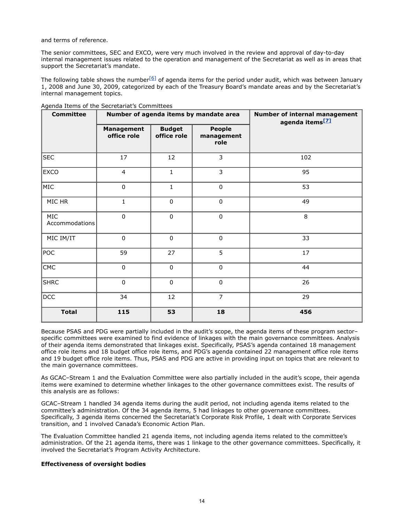and terms of reference.

The senior committees, SEC and EXCO, were very much involved in the review and approval of day-to-day internal management issues related to the operation and management of the Secretariat as well as in areas that support the Secretariat's mandate.

The following table shows the number $[6]$  of agenda items for the period under audit, which was between January 1, 2008 and June 30, 2009, categorized by each of the Treasury Board's mandate areas and by the Secretariat's internal management topics.

| <b>Committee</b>             | Number of agenda items by mandate area |                              |                                     | Number of internal management<br>agenda items <sup>[2]</sup> |
|------------------------------|----------------------------------------|------------------------------|-------------------------------------|--------------------------------------------------------------|
|                              | <b>Management</b><br>office role       | <b>Budget</b><br>office role | <b>People</b><br>management<br>role |                                                              |
| <b>SEC</b>                   | 17                                     | 12                           | 3                                   | 102                                                          |
| EXCO                         | $\overline{4}$                         | $\mathbf{1}$                 | $\overline{3}$                      | 95                                                           |
| MIC                          | $\mathbf 0$                            | $\mathbf 1$                  | $\pmb{0}$                           | 53                                                           |
| MIC HR                       | $\mathbf 1$                            | $\pmb{0}$                    | $\mathbf 0$                         | 49                                                           |
| <b>MIC</b><br>Accommodations | $\pmb{0}$                              | $\pmb{0}$                    | $\pmb{0}$                           | $\,8\,$                                                      |
| MIC IM/IT                    | $\pmb{0}$                              | $\pmb{0}$                    | $\pmb{0}$                           | 33                                                           |
| POC                          | 59                                     | 27                           | 5                                   | 17                                                           |
| CMC                          | $\pmb{0}$                              | $\pmb{0}$                    | $\pmb{0}$                           | 44                                                           |
| <b>SHRC</b>                  | $\mathbf 0$                            | $\mathbf 0$                  | $\mathbf 0$                         | 26                                                           |
| <b>DCC</b>                   | 34                                     | 12                           | $\overline{7}$                      | 29                                                           |
| <b>Total</b>                 | 115                                    | 53                           | 18                                  | 456                                                          |

Agenda Items of the Secretariat's Committees

Because PSAS and PDG were partially included in the audit's scope, the agenda items of these program sector– specific committees were examined to find evidence of linkages with the main governance committees. Analysis of their agenda items demonstrated that linkages exist. Specifically, PSAS's agenda contained 18 management office role items and 18 budget office role items, and PDG's agenda contained 22 management office role items and 19 budget office role items. Thus, PSAS and PDG are active in providing input on topics that are relevant to the main governance committees.

As GCAC–Stream 1 and the Evaluation Committee were also partially included in the audit's scope, their agenda items were examined to determine whether linkages to the other governance committees exist. The results of this analysis are as follows:

GCAC–Stream 1 handled 34 agenda items during the audit period, not including agenda items related to the committee's administration. Of the 34 agenda items, 5 had linkages to other governance committees. Specifically, 3 agenda items concerned the Secretariat's Corporate Risk Profile, 1 dealt with Corporate Services transition, and 1 involved Canada's Economic Action Plan.

The Evaluation Committee handled 21 agenda items, not including agenda items related to the committee's administration. Of the 21 agenda items, there was 1 linkage to the other governance committees. Specifically, it involved the Secretariat's Program Activity Architecture.

#### **Effectiveness of oversight bodies**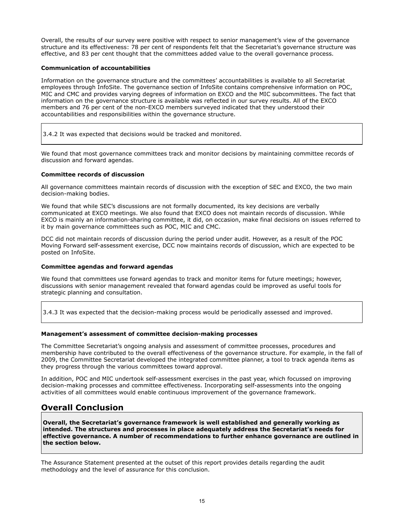Overall, the results of our survey were positive with respect to senior management's view of the governance structure and its effectiveness: 78 per cent of respondents felt that the Secretariat's governance structure was effective, and 83 per cent thought that the committees added value to the overall governance process.

#### **Communication of accountabilities**

Information on the governance structure and the committees' accountabilities is available to all Secretariat employees through InfoSite. The governance section of InfoSite contains comprehensive information on POC, MIC and CMC and provides varying degrees of information on EXCO and the MIC subcommittees. The fact that information on the governance structure is available was reflected in our survey results. All of the EXCO members and 76 per cent of the non-EXCO members surveyed indicated that they understood their accountabilities and responsibilities within the governance structure.

3.4.2 It was expected that decisions would be tracked and monitored.

We found that most governance committees track and monitor decisions by maintaining committee records of discussion and forward agendas.

### **Committee records of discussion**

All governance committees maintain records of discussion with the exception of SEC and EXCO, the two main decision-making bodies.

We found that while SEC's discussions are not formally documented, its key decisions are verbally communicated at EXCO meetings. We also found that EXCO does not maintain records of discussion. While EXCO is mainly an information-sharing committee, it did, on occasion, make final decisions on issues referred to it by main governance committees such as POC, MIC and CMC.

DCC did not maintain records of discussion during the period under audit. However, as a result of the POC Moving Forward self-assessment exercise, DCC now maintains records of discussion, which are expected to be posted on InfoSite.

#### **Committee agendas and forward agendas**

We found that committees use forward agendas to track and monitor items for future meetings; however, discussions with senior management revealed that forward agendas could be improved as useful tools for strategic planning and consultation.

3.4.3 It was expected that the decision-making process would be periodically assessed and improved.

#### **Management's assessment of committee decision-making processes**

The Committee Secretariat's ongoing analysis and assessment of committee processes, procedures and membership have contributed to the overall effectiveness of the governance structure. For example, in the fall of 2009, the Committee Secretariat developed the integrated committee planner, a tool to track agenda items as they progress through the various committees toward approval.

In addition, POC and MIC undertook self-assessment exercises in the past year, which focussed on improving decision-making processes and committee effectiveness. Incorporating self-assessments into the ongoing activities of all committees would enable continuous improvement of the governance framework.

# **Overall Conclusion**

**Overall, the Secretariat's governance framework is well established and generally working as intended. The structures and processes in place adequately address the Secretariat's needs for effective governance. A number of recommendations to further enhance governance are outlined in the section below.**

The Assurance Statement presented at the outset of this report provides details regarding the audit methodology and the level of assurance for this conclusion.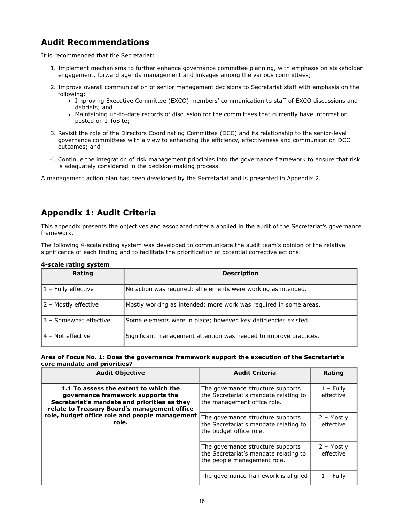# **Audit Recommendations**

It is recommended that the Secretariat:

- 1. Implement mechanisms to further enhance governance committee planning, with emphasis on stakeholder engagement, forward agenda management and linkages among the various committees;
- 2. Improve overall communication of senior management decisions to Secretariat staff with emphasis on the following:
	- Improving Executive Committee (EXCO) members' communication to staff of EXCO discussions and debriefs; and
	- Maintaining up-to-date records of discussion for the committees that currently have information posted on InfoSite;
- 3. Revisit the role of the Directors Coordinating Committee (DCC) and its relationship to the senior-level governance committees with a view to enhancing the efficiency, effectiveness and communication DCC outcomes; and
- 4. Continue the integration of risk management principles into the governance framework to ensure that risk is adequately considered in the decision-making process.

A management action plan has been developed by the Secretariat and is presented in Appendix 2.

# **Appendix 1: Audit Criteria**

This appendix presents the objectives and associated criteria applied in the audit of the Secretariat's governance framework.

The following 4-scale rating system was developed to communicate the audit team's opinion of the relative significance of each finding and to facilitate the prioritization of potential corrective actions.

| Rating                  | <b>Description</b>                                                |
|-------------------------|-------------------------------------------------------------------|
| $ 1 -$ Fully effective  | No action was required; all elements were working as intended.    |
| 2 - Mostly effective    | Mostly working as intended; more work was required in some areas. |
| 13 - Somewhat effective | Some elements were in place; however, key deficiencies existed.   |
| 4 – Not effective       | Significant management attention was needed to improve practices. |

#### **4-scale rating system**

**Area of Focus No. 1: Does the governance framework support the execution of the Secretariat's core mandate and priorities?**

| <b>Audit Objective</b>                                                                                                                                                                                                                | <b>Audit Criteria</b>                                                                                     | Rating                   |
|---------------------------------------------------------------------------------------------------------------------------------------------------------------------------------------------------------------------------------------|-----------------------------------------------------------------------------------------------------------|--------------------------|
| 1.1 To assess the extent to which the<br>governance framework supports the<br>Secretariat's mandate and priorities as they<br>relate to Treasury Board's management office<br>role, budget office role and people management<br>role. | The governance structure supports<br>the Secretariat's mandate relating to<br>the management office role. | $1 -$ Fully<br>effective |
|                                                                                                                                                                                                                                       | The governance structure supports<br>the Secretariat's mandate relating to<br>the budget office role.     | 2 – Mostly<br>effective  |
|                                                                                                                                                                                                                                       | The governance structure supports<br>the Secretariat's mandate relating to<br>the people management role. | 2 – Mostly<br>effective  |
|                                                                                                                                                                                                                                       | The governance framework is aligned                                                                       | $1 -$ Fully              |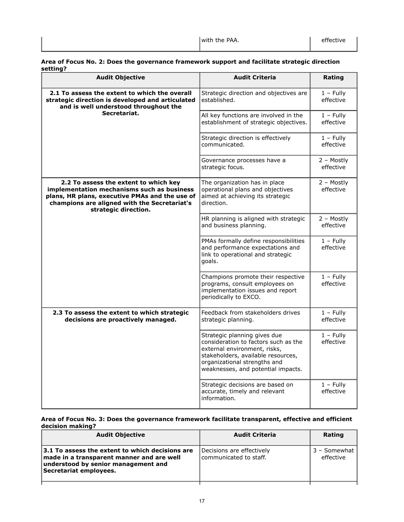#### **Area of Focus No. 2: Does the governance framework support and facilitate strategic direction setting?**

| <b>Audit Objective</b>                                                                                                                                                                                        | <b>Audit Criteria</b>                                                                                                                                                                                            | Rating                   |
|---------------------------------------------------------------------------------------------------------------------------------------------------------------------------------------------------------------|------------------------------------------------------------------------------------------------------------------------------------------------------------------------------------------------------------------|--------------------------|
| 2.1 To assess the extent to which the overall<br>strategic direction is developed and articulated<br>and is well understood throughout the                                                                    | Strategic direction and objectives are<br>established.                                                                                                                                                           | $1 - Fully$<br>effective |
| Secretariat.                                                                                                                                                                                                  | All key functions are involved in the<br>establishment of strategic objectives.                                                                                                                                  | $1 -$ Fully<br>effective |
|                                                                                                                                                                                                               | Strategic direction is effectively<br>communicated.                                                                                                                                                              | $1 -$ Fully<br>effective |
|                                                                                                                                                                                                               | Governance processes have a<br>strategic focus.                                                                                                                                                                  | 2 - Mostly<br>effective  |
| 2.2 To assess the extent to which key<br>implementation mechanisms such as business<br>plans, HR plans, executive PMAs and the use of<br>champions are aligned with the Secretariat's<br>strategic direction. | The organization has in place<br>operational plans and objectives<br>aimed at achieving its strategic<br>direction.                                                                                              | 2 - Mostly<br>effective  |
|                                                                                                                                                                                                               | HR planning is aligned with strategic<br>and business planning.                                                                                                                                                  | 2 - Mostly<br>effective  |
|                                                                                                                                                                                                               | PMAs formally define responsibilities<br>and performance expectations and<br>link to operational and strategic<br>goals.                                                                                         | $1 -$ Fully<br>effective |
|                                                                                                                                                                                                               | Champions promote their respective<br>programs, consult employees on<br>implementation issues and report<br>periodically to EXCO.                                                                                | $1 -$ Fully<br>effective |
| 2.3 To assess the extent to which strategic<br>decisions are proactively managed.                                                                                                                             | Feedback from stakeholders drives<br>strategic planning.                                                                                                                                                         | $1 - Fully$<br>effective |
|                                                                                                                                                                                                               | Strategic planning gives due<br>consideration to factors such as the<br>external environment, risks,<br>stakeholders, available resources,<br>organizational strengths and<br>weaknesses, and potential impacts. | $1 -$ Fully<br>effective |
|                                                                                                                                                                                                               | Strategic decisions are based on<br>accurate, timely and relevant<br>information.                                                                                                                                | $1 -$ Fully<br>effective |

### **Area of Focus No. 3: Does the governance framework facilitate transparent, effective and efficient decision making?**

| <b>Audit Objective</b>                                                                                                                                        | <b>Audit Criteria</b>                               | Rating                    |
|---------------------------------------------------------------------------------------------------------------------------------------------------------------|-----------------------------------------------------|---------------------------|
| 3.1 To assess the extent to which decisions are<br>made in a transparent manner and are well<br>understood by senior management and<br>Secretariat employees. | Decisions are effectively<br>communicated to staff. | 3 - Somewhat<br>effective |
|                                                                                                                                                               |                                                     |                           |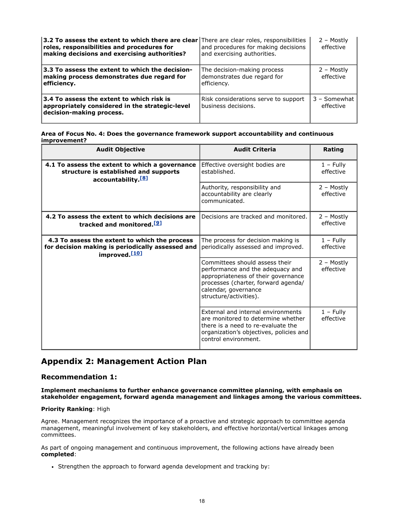| 3.2 To assess the extent to which there are clear There are clear roles, responsibilities<br>roles, responsibilities and procedures for<br>making decisions and exercising authorities? | and procedures for making decisions<br>and exercising authorities.        | 2 - Mostly<br>effective     |
|-----------------------------------------------------------------------------------------------------------------------------------------------------------------------------------------|---------------------------------------------------------------------------|-----------------------------|
| 3.3 To assess the extent to which the decision-<br>making process demonstrates due regard for<br>efficiency.                                                                            | The decision-making process<br>demonstrates due regard for<br>efficiency. | 2 - Mostly<br>effective     |
| $ 3.4$ To assess the extent to which risk is<br>appropriately considered in the strategic-level<br>decision-making process.                                                             | Risk considerations serve to support<br>business decisions.               | $3 -$ Somewhat<br>effective |

#### **Area of Focus No. 4: Does the governance framework support accountability and continuous improvement?**

<span id="page-19-1"></span><span id="page-19-0"></span>

| <b>Audit Objective</b>                                                                                                         | <b>Audit Criteria</b>                                                                                                                                                                              | Rating                   |
|--------------------------------------------------------------------------------------------------------------------------------|----------------------------------------------------------------------------------------------------------------------------------------------------------------------------------------------------|--------------------------|
| 4.1 To assess the extent to which a governance<br>structure is established and supports<br>accountability. <sup>[8]</sup>      | Effective oversight bodies are<br>established.                                                                                                                                                     | $1 -$ Fully<br>effective |
|                                                                                                                                | Authority, responsibility and<br>accountability are clearly<br>communicated.                                                                                                                       | 2 – Mostly<br>effective  |
| 4.2 To assess the extent to which decisions are<br>tracked and monitored. <sup>[9]</sup>                                       | Decisions are tracked and monitored.                                                                                                                                                               | 2 – Mostly<br>effective  |
| 4.3 To assess the extent to which the process<br>for decision making is periodically assessed and<br>improved. <sup>[10]</sup> | The process for decision making is<br>periodically assessed and improved.                                                                                                                          | $1 -$ Fully<br>effective |
|                                                                                                                                | Committees should assess their<br>performance and the adequacy and<br>appropriateness of their governance<br>processes (charter, forward agenda/<br>calendar, governance<br>structure/activities). | 2 - Mostly<br>effective  |
|                                                                                                                                | External and internal environments<br>are monitored to determine whether<br>there is a need to re-evaluate the<br>organization's objectives, policies and<br>control environment.                  | $1 -$ Fully<br>effective |

# <span id="page-19-2"></span>**Appendix 2: Management Action Plan**

## **Recommendation 1:**

**Implement mechanisms to further enhance governance committee planning, with emphasis on stakeholder engagement, forward agenda management and linkages among the various committees.**

#### **Priority Ranking**: High

Agree. Management recognizes the importance of a proactive and strategic approach to committee agenda management, meaningful involvement of key stakeholders, and effective horizontal/vertical linkages among committees.

As part of ongoing management and continuous improvement, the following actions have already been **completed**:

Strengthen the approach to forward agenda development and tracking by: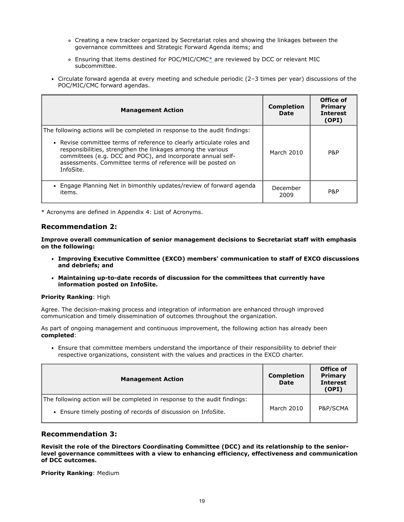- Creating a new tracker organized by Secretariat roles and showing the linkages between the governance committees and Strategic Forward Agenda items; and
- Ensuring that items destined for POC/MIC/CMC[\\*](#page-20-0) are reviewed by DCC or relevant MIC subcommittee.
- Circulate forward agenda at every meeting and schedule periodic (2–3 times per year) discussions of the POC/MIC/CMC forward agendas.

| <b>Management Action</b>                                                                                                                                                                                                                                                                                                                                      | <b>Completion</b><br><b>Date</b> | Office of<br>Primary<br><b>Interest</b><br>(OPI) |
|---------------------------------------------------------------------------------------------------------------------------------------------------------------------------------------------------------------------------------------------------------------------------------------------------------------------------------------------------------------|----------------------------------|--------------------------------------------------|
| The following actions will be completed in response to the audit findings:<br>• Revise committee terms of reference to clearly articulate roles and<br>responsibilities, strengthen the linkages among the various<br>committees (e.g. DCC and POC), and incorporate annual self-<br>assessments. Committee terms of reference will be posted on<br>InfoSite. | March 2010                       | P&P                                              |
| . Engage Planning Net in bimonthly updates/review of forward agenda<br>items.                                                                                                                                                                                                                                                                                 | December<br>2009                 | P&P                                              |

<span id="page-20-0"></span>\* Acronyms are defined in Appendix 4: List of Acronyms.

### **Recommendation 2:**

**Improve overall communication of senior management decisions to Secretariat staff with emphasis on the following:**

- **Improving Executive Committee (EXCO) members' communication to staff of EXCO discussions and debriefs; and**
- **Maintaining up-to-date records of discussion for the committees that currently have information posted on InfoSite.**

#### **Priority Ranking**: High

Agree. The decision-making process and integration of information are enhanced through improved communication and timely dissemination of outcomes throughout the organization.

As part of ongoing management and continuous improvement, the following action has already been **completed**:

Ensure that committee members understand the importance of their responsibility to debrief their respective organizations, consistent with the values and practices in the EXCO charter.

| <b>Management Action</b>                                                                                                                 | <b>Completion</b><br><b>Date</b> | Office of<br>Primary<br><b>Interest</b><br>(OPI) |
|------------------------------------------------------------------------------------------------------------------------------------------|----------------------------------|--------------------------------------------------|
| The following action will be completed in response to the audit findings:<br>Ensure timely posting of records of discussion on InfoSite. | March 2010                       | P&P/SCMA                                         |

## **Recommendation 3:**

**Revisit the role of the Directors Coordinating Committee (DCC) and its relationship to the seniorlevel governance committees with a view to enhancing efficiency, effectiveness and communication of DCC outcomes.**

**Priority Ranking**: Medium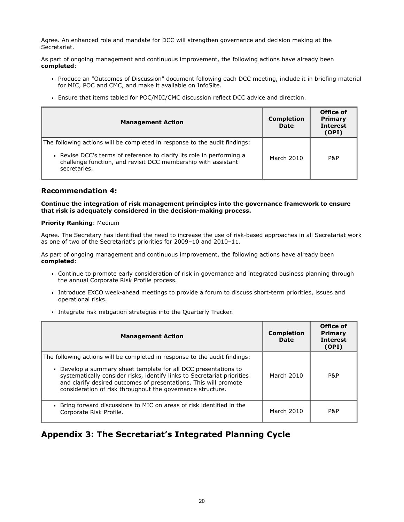Agree. An enhanced role and mandate for DCC will strengthen governance and decision making at the Secretariat.

As part of ongoing management and continuous improvement, the following actions have already been **completed**:

- Produce an "Outcomes of Discussion" document following each DCC meeting, include it in briefing material for MIC, POC and CMC, and make it available on InfoSite.
- Ensure that items tabled for POC/MIC/CMC discussion reflect DCC advice and direction.

| <b>Management Action</b>                                                                                                                                                                                             | <b>Completion</b><br><b>Date</b> | Office of<br>Primary<br><b>Interest</b><br>(OPI) |
|----------------------------------------------------------------------------------------------------------------------------------------------------------------------------------------------------------------------|----------------------------------|--------------------------------------------------|
| The following actions will be completed in response to the audit findings:<br>• Revise DCC's terms of reference to clarify its role in performing a<br>challenge function, and revisit DCC membership with assistant | March 2010                       | P&P                                              |
| secretaries.                                                                                                                                                                                                         |                                  |                                                  |

#### **Recommendation 4:**

**Continue the integration of risk management principles into the governance framework to ensure that risk is adequately considered in the decision-making process.**

#### **Priority Ranking**: Medium

Agree. The Secretary has identified the need to increase the use of risk-based approaches in all Secretariat work as one of two of the Secretariat's priorities for 2009–10 and 2010–11.

As part of ongoing management and continuous improvement, the following actions have already been **completed**:

- Continue to promote early consideration of risk in governance and integrated business planning through the annual Corporate Risk Profile process.
- Introduce EXCO week-ahead meetings to provide a forum to discuss short-term priorities, issues and operational risks.
- Integrate risk mitigation strategies into the Quarterly Tracker.

| <b>Management Action</b>                                                                                                                                                                                                                                                                                                                                 | <b>Completion</b><br>Date | Office of<br>Primary<br><b>Interest</b><br>(OPI) |
|----------------------------------------------------------------------------------------------------------------------------------------------------------------------------------------------------------------------------------------------------------------------------------------------------------------------------------------------------------|---------------------------|--------------------------------------------------|
| The following actions will be completed in response to the audit findings:<br>Develop a summary sheet template for all DCC presentations to<br>systematically consider risks, identify links to Secretariat priorities<br>and clarify desired outcomes of presentations. This will promote<br>consideration of risk throughout the governance structure. | March 2010                | P&P                                              |
| • Bring forward discussions to MIC on areas of risk identified in the<br>Corporate Risk Profile.                                                                                                                                                                                                                                                         | March 2010                | P&P                                              |

# **Appendix 3: The Secretariat's Integrated Planning Cycle**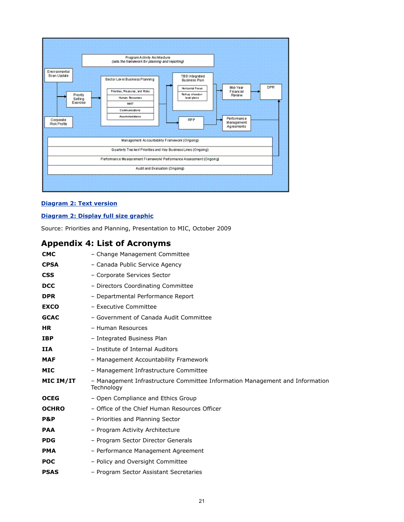

#### **[Diagram 2: Text version](http://www.tbs-sct.gc.ca/report/orp/2010/agf-acg-txt-eng.asp#diag2)**

#### **[Diagram 2: Display full size graphic](http://www.tbs-sct.gc.ca/report/orp/2010/image/image002-eng.gif)**

Source: Priorities and Planning, Presentation to MIC, October 2009

# **Appendix 4: List of Acronyms**

| <b>CMC</b>   | - Change Management Committee                                                              |
|--------------|--------------------------------------------------------------------------------------------|
| <b>CPSA</b>  | - Canada Public Service Agency                                                             |
| <b>CSS</b>   | - Corporate Services Sector                                                                |
| <b>DCC</b>   | - Directors Coordinating Committee                                                         |
| <b>DPR</b>   | - Departmental Performance Report                                                          |
| <b>EXCO</b>  | - Executive Committee                                                                      |
| <b>GCAC</b>  | - Government of Canada Audit Committee                                                     |
| <b>HR</b>    | - Human Resources                                                                          |
| <b>IBP</b>   | - Integrated Business Plan                                                                 |
| <b>IIA</b>   | - Institute of Internal Auditors                                                           |
| <b>MAF</b>   | - Management Accountability Framework                                                      |
| <b>MIC</b>   | - Management Infrastructure Committee                                                      |
| MIC IM/IT    | - Management Infrastructure Committee Information Management and Information<br>Technology |
| <b>OCEG</b>  | - Open Compliance and Ethics Group                                                         |
| <b>OCHRO</b> | - Office of the Chief Human Resources Officer                                              |
| P&P          | - Priorities and Planning Sector                                                           |
| <b>PAA</b>   | - Program Activity Architecture                                                            |
| <b>PDG</b>   | - Program Sector Director Generals                                                         |
| <b>PMA</b>   | - Performance Management Agreement                                                         |
| <b>POC</b>   | - Policy and Oversight Committee                                                           |
| <b>PSAS</b>  | - Program Sector Assistant Secretaries                                                     |